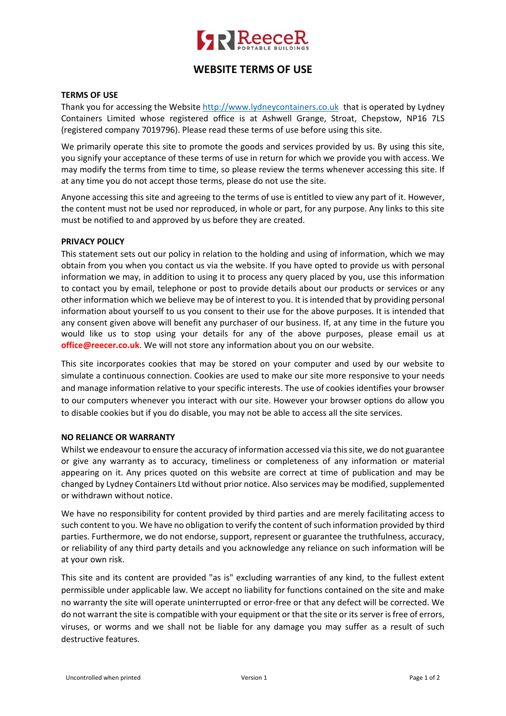

# **WEBSITE TERMS OF USE**

# **TERMS OF USE**

Thank you for accessing the Website http://www.lydneycontainers.co.uk that is operated by Lydney Containers Limited whose registered office is at Ashwell Grange, Stroat, Chepstow, NP16 7LS (registered company 7019796). Please read these terms of use before using this site.

We primarily operate this site to promote the goods and services provided by us. By using this site, you signify your acceptance of these terms of use in return for which we provide you with access. We may modify the terms from time to time, so please review the terms whenever accessing this site. If at any time you do not accept those terms, please do not use the site.

Anyone accessing this site and agreeing to the terms of use is entitled to view any part of it. However, the content must not be used nor reproduced, in whole or part, for any purpose. Any links to this site must be notified to and approved by us before they are created.

#### **PRIVACY POLICY**

This statement sets out our policy in relation to the holding and using of information, which we may obtain from you when you contact us via the website. If you have opted to provide us with personal information we may, in addition to using it to process any query placed by you, use this information to contact you by email, telephone or post to provide details about our products or services or any other information which we believe may be of interest to you. It is intended that by providing personal information about yourself to us you consent to their use for the above purposes. It is intended that any consent given above will benefit any purchaser of our business. If, at any time in the future you would like us to stop using your details for any of the above purposes, please email us at **office@reecer.co.uk**. We will not store any information about you on our website.

This site incorporates cookies that may be stored on your computer and used by our website to simulate a continuous connection. Cookies are used to make our site more responsive to your needs and manage information relative to your specific interests. The use of cookies identifies your browser to our computers whenever you interact with our site. However your browser options do allow you to disable cookies but if you do disable, you may not be able to access all the site services.

#### **NO RELIANCE OR WARRANTY**

Whilst we endeavour to ensure the accuracy of information accessed via this site, we do not guarantee or give any warranty as to accuracy, timeliness or completeness of any information or material appearing on it. Any prices quoted on this website are correct at time of publication and may be changed by Lydney Containers Ltd without prior notice. Also services may be modified, supplemented or withdrawn without notice.

We have no responsibility for content provided by third parties and are merely facilitating access to such content to you. We have no obligation to verify the content of such information provided by third parties. Furthermore, we do not endorse, support, represent or guarantee the truthfulness, accuracy, or reliability of any third party details and you acknowledge any reliance on such information will be at your own risk.

This site and its content are provided "as is" excluding warranties of any kind, to the fullest extent permissible under applicable law. We accept no liability for functions contained on the site and make no warranty the site will operate uninterrupted or error-free or that any defect will be corrected. We do not warrant the site is compatible with your equipment or that the site or its server is free of errors, viruses, or worms and we shall not be liable for any damage you may suffer as a result of such destructive features.